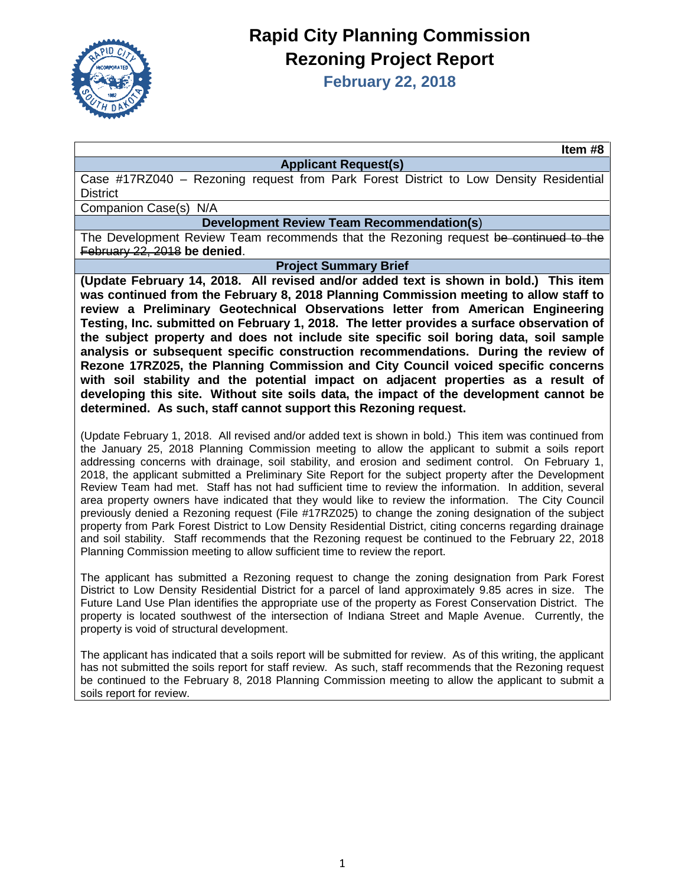

# **Rapid City Planning Commission Rezoning Project Report**

**February 22, 2018**

**Item #8**

#### **Applicant Request(s)**

Case #17RZ040 – Rezoning request from Park Forest District to Low Density Residential **District** 

Companion Case(s) N/A

## **Development Review Team Recommendation(s**)

The Development Review Team recommends that the Rezoning request be continued to the February 22, 2018 **be denied**.

### **Project Summary Brief**

**(Update February 14, 2018. All revised and/or added text is shown in bold.) This item was continued from the February 8, 2018 Planning Commission meeting to allow staff to review a Preliminary Geotechnical Observations letter from American Engineering Testing, Inc. submitted on February 1, 2018. The letter provides a surface observation of the subject property and does not include site specific soil boring data, soil sample analysis or subsequent specific construction recommendations. During the review of Rezone 17RZ025, the Planning Commission and City Council voiced specific concerns with soil stability and the potential impact on adjacent properties as a result of developing this site. Without site soils data, the impact of the development cannot be determined. As such, staff cannot support this Rezoning request.** 

(Update February 1, 2018. All revised and/or added text is shown in bold.) This item was continued from the January 25, 2018 Planning Commission meeting to allow the applicant to submit a soils report addressing concerns with drainage, soil stability, and erosion and sediment control. On February 1, 2018, the applicant submitted a Preliminary Site Report for the subject property after the Development Review Team had met. Staff has not had sufficient time to review the information. In addition, several area property owners have indicated that they would like to review the information. The City Council previously denied a Rezoning request (File #17RZ025) to change the zoning designation of the subject property from Park Forest District to Low Density Residential District, citing concerns regarding drainage and soil stability. Staff recommends that the Rezoning request be continued to the February 22, 2018 Planning Commission meeting to allow sufficient time to review the report.

The applicant has submitted a Rezoning request to change the zoning designation from Park Forest District to Low Density Residential District for a parcel of land approximately 9.85 acres in size. The Future Land Use Plan identifies the appropriate use of the property as Forest Conservation District. The property is located southwest of the intersection of Indiana Street and Maple Avenue. Currently, the property is void of structural development.

The applicant has indicated that a soils report will be submitted for review. As of this writing, the applicant has not submitted the soils report for staff review. As such, staff recommends that the Rezoning request be continued to the February 8, 2018 Planning Commission meeting to allow the applicant to submit a soils report for review.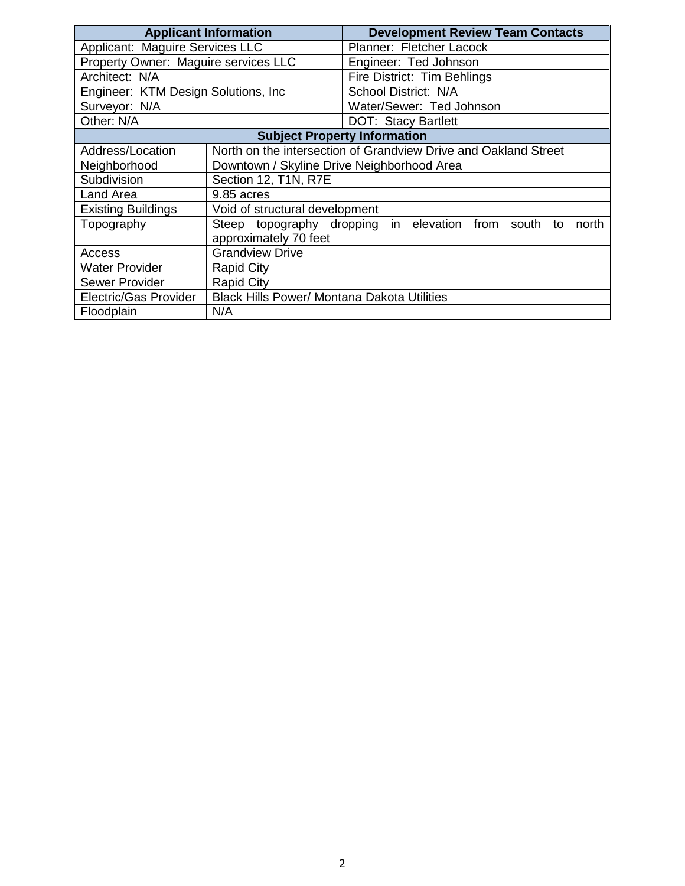| <b>Applicant Information</b>         |                                                    | <b>Development Review Team Contacts</b>                          |  |  |  |
|--------------------------------------|----------------------------------------------------|------------------------------------------------------------------|--|--|--|
| Applicant: Maguire Services LLC      |                                                    | Planner: Fletcher Lacock                                         |  |  |  |
| Property Owner: Maguire services LLC |                                                    | Engineer: Ted Johnson                                            |  |  |  |
| Architect: N/A                       |                                                    | Fire District: Tim Behlings                                      |  |  |  |
| Engineer: KTM Design Solutions, Inc. |                                                    | School District: N/A                                             |  |  |  |
| Surveyor: N/A                        |                                                    | Water/Sewer: Ted Johnson                                         |  |  |  |
| Other: N/A                           |                                                    | DOT: Stacy Bartlett                                              |  |  |  |
|                                      | <b>Subject Property Information</b>                |                                                                  |  |  |  |
| Address/Location                     |                                                    | North on the intersection of Grandview Drive and Oakland Street  |  |  |  |
| Neighborhood                         | Downtown / Skyline Drive Neighborhood Area         |                                                                  |  |  |  |
| Subdivision                          | Section 12, T1N, R7E                               |                                                                  |  |  |  |
| Land Area                            | 9.85 acres                                         |                                                                  |  |  |  |
| <b>Existing Buildings</b>            | Void of structural development                     |                                                                  |  |  |  |
| Topography                           |                                                    | Steep topography dropping in elevation from south<br>north<br>to |  |  |  |
|                                      | approximately 70 feet                              |                                                                  |  |  |  |
| Access                               | <b>Grandview Drive</b>                             |                                                                  |  |  |  |
| <b>Water Provider</b>                | <b>Rapid City</b>                                  |                                                                  |  |  |  |
| <b>Sewer Provider</b>                | <b>Rapid City</b>                                  |                                                                  |  |  |  |
| Electric/Gas Provider                | <b>Black Hills Power/ Montana Dakota Utilities</b> |                                                                  |  |  |  |
| Floodplain                           | N/A                                                |                                                                  |  |  |  |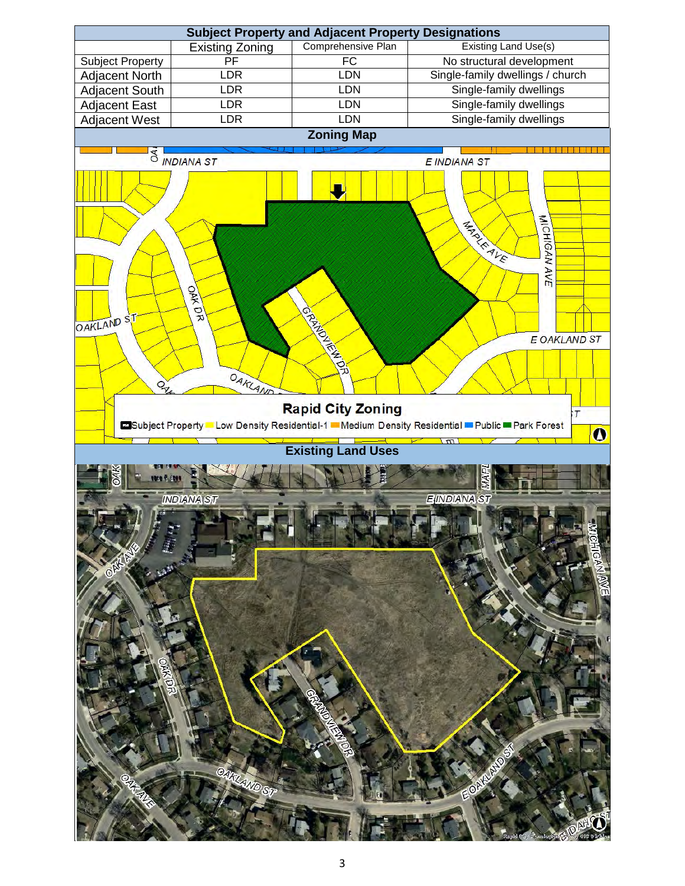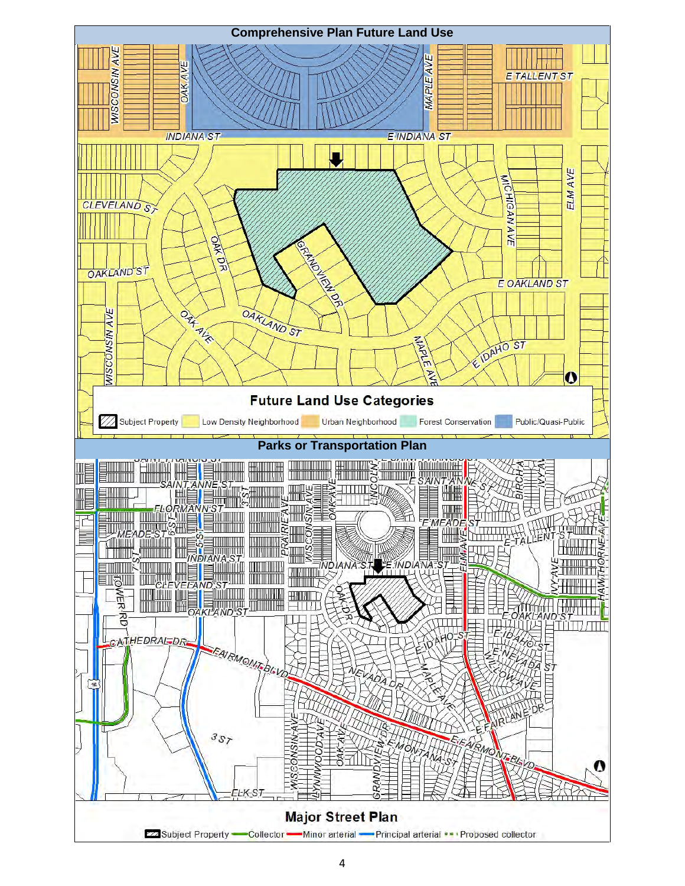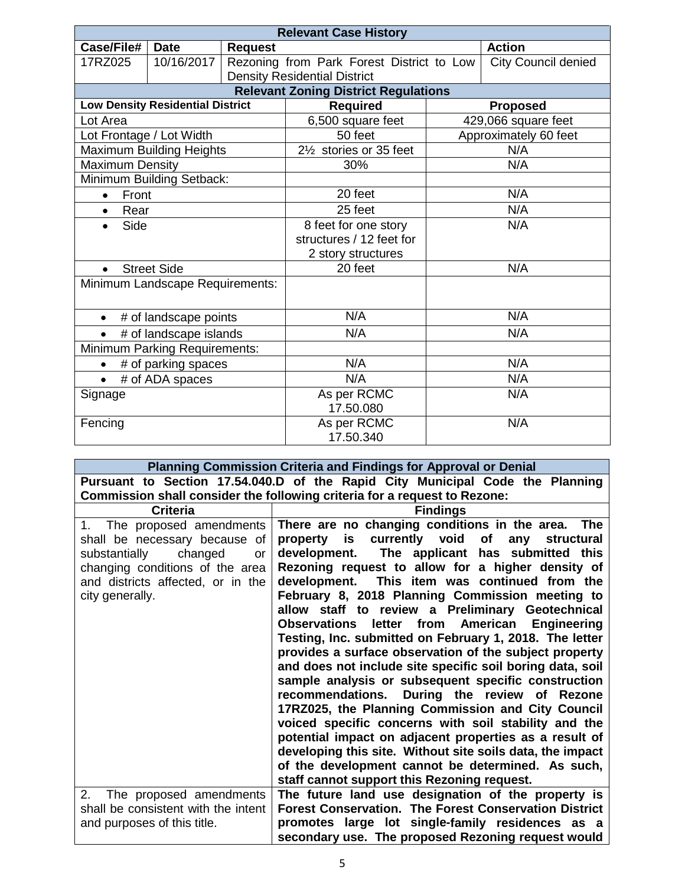| <b>Relevant Case History</b>        |                                         |                |                                             |                       |                            |
|-------------------------------------|-----------------------------------------|----------------|---------------------------------------------|-----------------------|----------------------------|
| Case/File#                          | <b>Date</b>                             | <b>Request</b> |                                             |                       | <b>Action</b>              |
| 17RZ025                             | 10/16/2017                              |                | Rezoning from Park Forest District to Low   |                       | <b>City Council denied</b> |
|                                     |                                         |                | <b>Density Residential District</b>         |                       |                            |
|                                     |                                         |                | <b>Relevant Zoning District Regulations</b> |                       |                            |
|                                     | <b>Low Density Residential District</b> |                | <b>Required</b>                             | <b>Proposed</b>       |                            |
| Lot Area                            |                                         |                | 6,500 square feet                           | 429,066 square feet   |                            |
| Lot Frontage / Lot Width            |                                         |                | 50 feet                                     | Approximately 60 feet |                            |
|                                     | <b>Maximum Building Heights</b>         |                | 21/ <sub>2</sub> stories or 35 feet         | N/A                   |                            |
| <b>Maximum Density</b>              |                                         |                | 30%                                         |                       | N/A                        |
|                                     | Minimum Building Setback:               |                |                                             |                       |                            |
| Front<br>$\bullet$                  |                                         |                | 20 feet                                     | N/A                   |                            |
| Rear<br>$\bullet$                   |                                         |                | 25 feet                                     | N/A                   |                            |
| Side                                |                                         |                | 8 feet for one story                        | N/A                   |                            |
|                                     |                                         |                | structures / 12 feet for                    |                       |                            |
|                                     |                                         |                | 2 story structures                          |                       |                            |
| <b>Street Side</b>                  |                                         | 20 feet        | N/A                                         |                       |                            |
| Minimum Landscape Requirements:     |                                         |                |                                             |                       |                            |
|                                     |                                         |                |                                             |                       |                            |
| # of landscape points<br>$\bullet$  |                                         | N/A            | N/A                                         |                       |                            |
| # of landscape islands<br>$\bullet$ |                                         | N/A            | N/A                                         |                       |                            |
| Minimum Parking Requirements:       |                                         |                |                                             |                       |                            |
| # of parking spaces                 |                                         | N/A            | N/A                                         |                       |                            |
| # of ADA spaces<br>$\bullet$        |                                         | N/A            | N/A                                         |                       |                            |
| Signage                             |                                         | As per RCMC    | N/A                                         |                       |                            |
|                                     |                                         | 17.50.080      |                                             |                       |                            |
| Fencing                             |                                         | As per RCMC    | N/A                                         |                       |                            |
|                                     |                                         |                | 17.50.340                                   |                       |                            |

| Planning Commission Criteria and Findings for Approval or Denial |                                                                               |  |  |  |
|------------------------------------------------------------------|-------------------------------------------------------------------------------|--|--|--|
|                                                                  | Pursuant to Section 17.54.040.D of the Rapid City Municipal Code the Planning |  |  |  |
|                                                                  | Commission shall consider the following criteria for a request to Rezone:     |  |  |  |
| <b>Criteria</b>                                                  | <b>Findings</b>                                                               |  |  |  |
| The proposed amendments<br>1.                                    | There are no changing conditions in the area.<br><b>The</b>                   |  |  |  |
| shall be necessary because of                                    | currently void<br>of<br>property<br>is<br>any<br>structural                   |  |  |  |
| substantially<br>changed<br><b>or</b>                            | The applicant has submitted this<br>development.                              |  |  |  |
| changing conditions of the area                                  | Rezoning request to allow for a higher density of                             |  |  |  |
| and districts affected, or in the                                | development. This item was continued from the                                 |  |  |  |
| city generally.                                                  | February 8, 2018 Planning Commission meeting to                               |  |  |  |
|                                                                  | allow staff to review a Preliminary Geotechnical                              |  |  |  |
|                                                                  | letter from American Engineering<br><b>Observations</b>                       |  |  |  |
|                                                                  | Testing, Inc. submitted on February 1, 2018. The letter                       |  |  |  |
|                                                                  | provides a surface observation of the subject property                        |  |  |  |
|                                                                  | and does not include site specific soil boring data, soil                     |  |  |  |
|                                                                  | sample analysis or subsequent specific construction                           |  |  |  |
|                                                                  | recommendations. During the review of Rezone                                  |  |  |  |
|                                                                  | 17RZ025, the Planning Commission and City Council                             |  |  |  |
|                                                                  | voiced specific concerns with soil stability and the                          |  |  |  |
|                                                                  | potential impact on adjacent properties as a result of                        |  |  |  |
|                                                                  | developing this site. Without site soils data, the impact                     |  |  |  |
|                                                                  | of the development cannot be determined. As such,                             |  |  |  |
|                                                                  | staff cannot support this Rezoning request.                                   |  |  |  |
| 2.<br>The proposed amendments                                    | The future land use designation of the property is                            |  |  |  |
| shall be consistent with the intent                              | <b>Forest Conservation. The Forest Conservation District</b>                  |  |  |  |
| and purposes of this title.                                      | promotes large lot single-family residences as a                              |  |  |  |
|                                                                  | secondary use. The proposed Rezoning request would                            |  |  |  |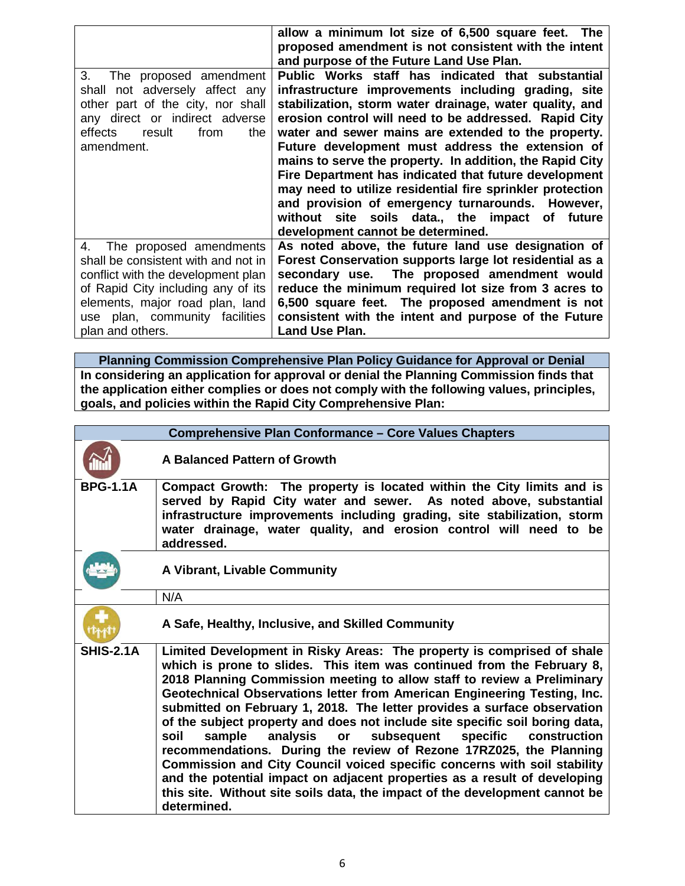|                                                                                                                                                                                         | allow a minimum lot size of 6,500 square feet. The                                                                                                                                                                                                                                                                                                                                                                                                                                                                                                                                                                                                                   |
|-----------------------------------------------------------------------------------------------------------------------------------------------------------------------------------------|----------------------------------------------------------------------------------------------------------------------------------------------------------------------------------------------------------------------------------------------------------------------------------------------------------------------------------------------------------------------------------------------------------------------------------------------------------------------------------------------------------------------------------------------------------------------------------------------------------------------------------------------------------------------|
|                                                                                                                                                                                         | proposed amendment is not consistent with the intent                                                                                                                                                                                                                                                                                                                                                                                                                                                                                                                                                                                                                 |
|                                                                                                                                                                                         | and purpose of the Future Land Use Plan.                                                                                                                                                                                                                                                                                                                                                                                                                                                                                                                                                                                                                             |
| 3.<br>The proposed amendment<br>shall not adversely affect any<br>other part of the city, nor shall<br>any direct or indirect adverse<br>effects<br>result<br>from<br>the<br>amendment. | Public Works staff has indicated that substantial<br>infrastructure improvements including grading, site<br>stabilization, storm water drainage, water quality, and<br>erosion control will need to be addressed. Rapid City<br>water and sewer mains are extended to the property.<br>Future development must address the extension of<br>mains to serve the property. In addition, the Rapid City<br>Fire Department has indicated that future development<br>may need to utilize residential fire sprinkler protection<br>and provision of emergency turnarounds. However,<br>without site soils data., the impact of future<br>development cannot be determined. |
| The proposed amendments<br>4.                                                                                                                                                           | As noted above, the future land use designation of                                                                                                                                                                                                                                                                                                                                                                                                                                                                                                                                                                                                                   |
| shall be consistent with and not in                                                                                                                                                     | Forest Conservation supports large lot residential as a                                                                                                                                                                                                                                                                                                                                                                                                                                                                                                                                                                                                              |
| conflict with the development plan                                                                                                                                                      | secondary use. The proposed amendment would                                                                                                                                                                                                                                                                                                                                                                                                                                                                                                                                                                                                                          |
| of Rapid City including any of its                                                                                                                                                      | reduce the minimum required lot size from 3 acres to                                                                                                                                                                                                                                                                                                                                                                                                                                                                                                                                                                                                                 |
| elements, major road plan, land                                                                                                                                                         | 6,500 square feet. The proposed amendment is not                                                                                                                                                                                                                                                                                                                                                                                                                                                                                                                                                                                                                     |
| use plan, community facilities                                                                                                                                                          | consistent with the intent and purpose of the Future                                                                                                                                                                                                                                                                                                                                                                                                                                                                                                                                                                                                                 |
| plan and others.                                                                                                                                                                        | Land Use Plan.                                                                                                                                                                                                                                                                                                                                                                                                                                                                                                                                                                                                                                                       |

**Planning Commission Comprehensive Plan Policy Guidance for Approval or Denial In considering an application for approval or denial the Planning Commission finds that the application either complies or does not comply with the following values, principles, goals, and policies within the Rapid City Comprehensive Plan:**

|                  | <b>Comprehensive Plan Conformance - Core Values Chapters</b>                                                                                                                                                                                                                                                                                                                                                                                                                                                                                                                                                                                                                                                                                                                                                                                                             |
|------------------|--------------------------------------------------------------------------------------------------------------------------------------------------------------------------------------------------------------------------------------------------------------------------------------------------------------------------------------------------------------------------------------------------------------------------------------------------------------------------------------------------------------------------------------------------------------------------------------------------------------------------------------------------------------------------------------------------------------------------------------------------------------------------------------------------------------------------------------------------------------------------|
|                  | A Balanced Pattern of Growth                                                                                                                                                                                                                                                                                                                                                                                                                                                                                                                                                                                                                                                                                                                                                                                                                                             |
| <b>BPG-1.1A</b>  | Compact Growth: The property is located within the City limits and is<br>served by Rapid City water and sewer. As noted above, substantial<br>infrastructure improvements including grading, site stabilization, storm<br>water drainage, water quality, and erosion control will need to be<br>addressed.                                                                                                                                                                                                                                                                                                                                                                                                                                                                                                                                                               |
|                  | A Vibrant, Livable Community                                                                                                                                                                                                                                                                                                                                                                                                                                                                                                                                                                                                                                                                                                                                                                                                                                             |
|                  | N/A                                                                                                                                                                                                                                                                                                                                                                                                                                                                                                                                                                                                                                                                                                                                                                                                                                                                      |
|                  | A Safe, Healthy, Inclusive, and Skilled Community                                                                                                                                                                                                                                                                                                                                                                                                                                                                                                                                                                                                                                                                                                                                                                                                                        |
| <b>SHIS-2.1A</b> | Limited Development in Risky Areas: The property is comprised of shale<br>which is prone to slides. This item was continued from the February 8,<br>2018 Planning Commission meeting to allow staff to review a Preliminary<br>Geotechnical Observations letter from American Engineering Testing, Inc.<br>submitted on February 1, 2018. The letter provides a surface observation<br>of the subject property and does not include site specific soil boring data,<br>subsequent specific construction<br>analysis<br>soil<br>sample<br>or<br>recommendations. During the review of Rezone 17RZ025, the Planning<br>Commission and City Council voiced specific concerns with soil stability<br>and the potential impact on adjacent properties as a result of developing<br>this site. Without site soils data, the impact of the development cannot be<br>determined. |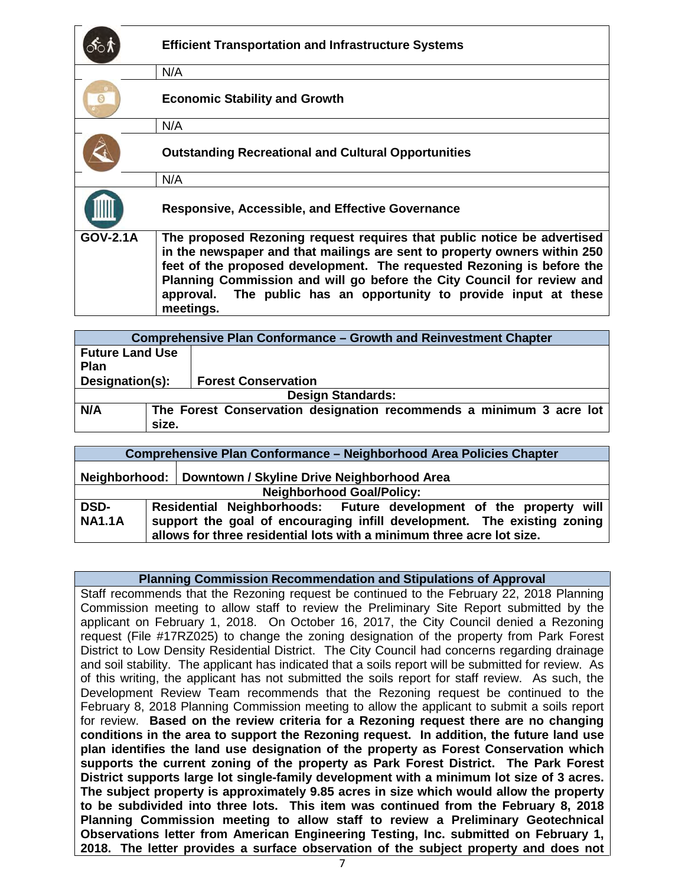|                 | <b>Efficient Transportation and Infrastructure Systems</b>                                                                                                                                                                                                                                                                                                                                 |
|-----------------|--------------------------------------------------------------------------------------------------------------------------------------------------------------------------------------------------------------------------------------------------------------------------------------------------------------------------------------------------------------------------------------------|
|                 | N/A                                                                                                                                                                                                                                                                                                                                                                                        |
|                 | <b>Economic Stability and Growth</b>                                                                                                                                                                                                                                                                                                                                                       |
|                 | N/A                                                                                                                                                                                                                                                                                                                                                                                        |
|                 | <b>Outstanding Recreational and Cultural Opportunities</b>                                                                                                                                                                                                                                                                                                                                 |
|                 | N/A                                                                                                                                                                                                                                                                                                                                                                                        |
|                 | <b>Responsive, Accessible, and Effective Governance</b>                                                                                                                                                                                                                                                                                                                                    |
| <b>GOV-2.1A</b> | The proposed Rezoning request requires that public notice be advertised<br>in the newspaper and that mailings are sent to property owners within 250<br>feet of the proposed development. The requested Rezoning is before the<br>Planning Commission and will go before the City Council for review and<br>approval. The public has an opportunity to provide input at these<br>meetings. |

| <b>Comprehensive Plan Conformance – Growth and Reinvestment Chapter</b> |                                                                     |                            |  |  |
|-------------------------------------------------------------------------|---------------------------------------------------------------------|----------------------------|--|--|
| <b>Future Land Use</b>                                                  |                                                                     |                            |  |  |
| <b>Plan</b>                                                             |                                                                     |                            |  |  |
| Designation(s):                                                         |                                                                     | <b>Forest Conservation</b> |  |  |
| <b>Design Standards:</b>                                                |                                                                     |                            |  |  |
| N/A                                                                     | The Forest Conservation designation recommends a minimum 3 acre lot |                            |  |  |
|                                                                         | size.                                                               |                            |  |  |

| <b>Comprehensive Plan Conformance - Neighborhood Area Policies Chapter</b> |  |  |                                                                                                                                                                                                                        |
|----------------------------------------------------------------------------|--|--|------------------------------------------------------------------------------------------------------------------------------------------------------------------------------------------------------------------------|
| Neighborhood:   Downtown / Skyline Drive Neighborhood Area                 |  |  |                                                                                                                                                                                                                        |
| <b>Neighborhood Goal/Policy:</b>                                           |  |  |                                                                                                                                                                                                                        |
| <b>DSD-</b><br><b>NA1.1A</b>                                               |  |  | Residential Neighborhoods: Future development of the property will<br>support the goal of encouraging infill development. The existing zoning<br>allows for three residential lots with a minimum three acre lot size. |

#### **Planning Commission Recommendation and Stipulations of Approval**

Staff recommends that the Rezoning request be continued to the February 22, 2018 Planning Commission meeting to allow staff to review the Preliminary Site Report submitted by the applicant on February 1, 2018.On October 16, 2017, the City Council denied a Rezoning request (File #17RZ025) to change the zoning designation of the property from Park Forest District to Low Density Residential District. The City Council had concerns regarding drainage and soil stability. The applicant has indicated that a soils report will be submitted for review. As of this writing, the applicant has not submitted the soils report for staff review. As such, the Development Review Team recommends that the Rezoning request be continued to the February 8, 2018 Planning Commission meeting to allow the applicant to submit a soils report for review. **Based on the review criteria for a Rezoning request there are no changing conditions in the area to support the Rezoning request. In addition, the future land use plan identifies the land use designation of the property as Forest Conservation which supports the current zoning of the property as Park Forest District. The Park Forest District supports large lot single-family development with a minimum lot size of 3 acres. The subject property is approximately 9.85 acres in size which would allow the property to be subdivided into three lots. This item was continued from the February 8, 2018 Planning Commission meeting to allow staff to review a Preliminary Geotechnical Observations letter from American Engineering Testing, Inc. submitted on February 1, 2018. The letter provides a surface observation of the subject property and does not**